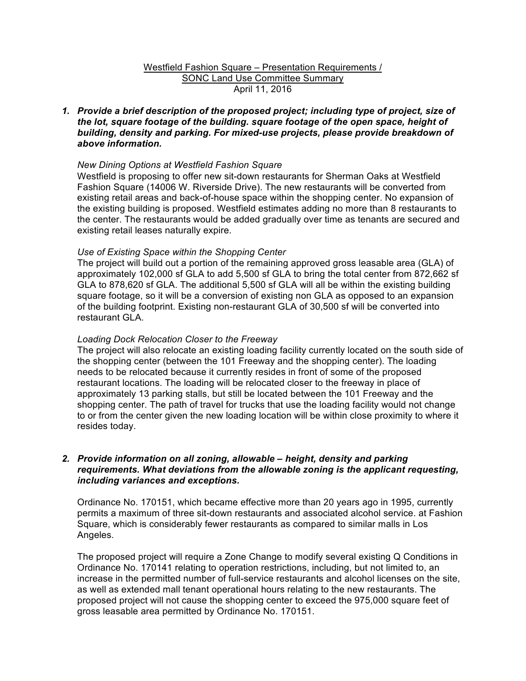# Westfield Fashion Square – Presentation Requirements / SONC Land Use Committee Summary April 11, 2016

*1. Provide a brief description of the proposed project; including type of project, size of the lot, square footage of the building. square footage of the open space, height of building, density and parking. For mixed-use projects, please provide breakdown of above information.* 

## *New Dining Options at Westfield Fashion Square*

Westfield is proposing to offer new sit-down restaurants for Sherman Oaks at Westfield Fashion Square (14006 W. Riverside Drive). The new restaurants will be converted from existing retail areas and back-of-house space within the shopping center. No expansion of the existing building is proposed. Westfield estimates adding no more than 8 restaurants to the center. The restaurants would be added gradually over time as tenants are secured and existing retail leases naturally expire.

## *Use of Existing Space within the Shopping Center*

The project will build out a portion of the remaining approved gross leasable area (GLA) of approximately 102,000 sf GLA to add 5,500 sf GLA to bring the total center from 872,662 sf GLA to 878,620 sf GLA. The additional 5,500 sf GLA will all be within the existing building square footage, so it will be a conversion of existing non GLA as opposed to an expansion of the building footprint. Existing non-restaurant GLA of 30,500 sf will be converted into restaurant GLA.

#### *Loading Dock Relocation Closer to the Freeway*

The project will also relocate an existing loading facility currently located on the south side of the shopping center (between the 101 Freeway and the shopping center). The loading needs to be relocated because it currently resides in front of some of the proposed restaurant locations. The loading will be relocated closer to the freeway in place of approximately 13 parking stalls, but still be located between the 101 Freeway and the shopping center. The path of travel for trucks that use the loading facility would not change to or from the center given the new loading location will be within close proximity to where it resides today.

## *2. Provide information on all zoning, allowable – height, density and parking requirements. What deviations from the allowable zoning is the applicant requesting, including variances and exceptions.*

Ordinance No. 170151, which became effective more than 20 years ago in 1995, currently permits a maximum of three sit-down restaurants and associated alcohol service. at Fashion Square, which is considerably fewer restaurants as compared to similar malls in Los Angeles.

The proposed project will require a Zone Change to modify several existing Q Conditions in Ordinance No. 170141 relating to operation restrictions, including, but not limited to, an increase in the permitted number of full-service restaurants and alcohol licenses on the site, as well as extended mall tenant operational hours relating to the new restaurants. The proposed project will not cause the shopping center to exceed the 975,000 square feet of gross leasable area permitted by Ordinance No. 170151.